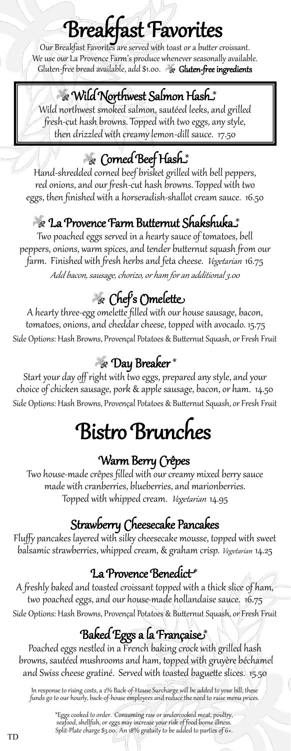# Breakfast Favorites

Our Breakfast Favorites are served with toast or a butter croissant. We use our La Provence Farm's produce whenever seasonally available. Gluten-free bread available, add \$1.00. Sluten-free ingredients

#### Wild Northwest Salmon Hash \*

Wild northwest smoked salmon, sautéed leeks, and grilled fresh-cut hash browns. Topped with two eggs, any style, then drizzled with creamy lemon-dill sauce. 17.50

## Corned Beef Hash \*

Hand-shredded corned beef brisket grilled with bell peppers, red onions, and our fresh-cut hash browns. Topped with two eggs, then finished with a horseradish-shallot cream sauce. 16.50

### La Provence Farm Butternut Shakshuka \*

Two poached eggs served in a hearty sauce of tomatoes, bell peppers, onions, warm spices, and tender butternut squash from our farm. Finished with fresh herbs and feta cheese. *Vegetarian* 16.75 Add bacon, sausage, chorizo, or ham for an additional 3.00

# Chef's Omelette

A hearty three-egg omelette filled with our house sausage, bacon, tomatoes, onions, and cheddar cheese, topped with avocado. 15.75 Side Options: Hash Browns, Provençal Potatoes & Butternut Squash, or Fresh Fruit

### Day Breaker \*

Start your day off right with two eggs, prepared any style, and your choice of chicken sausage, pork & apple sausage, bacon, or ham. 14.50 Side Options: Hash Browns, Provençal Potatoes & Butternut Squash, or Fresh Fruit

# Bistro Brunches

#### Warm Berry Crêpes

Two house-made crêpes filled with our creamy mixed berry sauce made with cranberries, blueberries, and marionberries. Topped with whipped cream. Vegetarian 14.95

#### Strawberry Cheesecake Pancakes

Fluffy pancakes layered with silky cheesecake mousse, topped with sweet balsamic strawberries, whipped cream, & graham crisp. Vegetarian 14.25

#### La Provence Benedict \*

A freshly baked and toasted croissant topped with a thick slice of ham, two poached eggs, and our house-made hollandaise sauce. 16.75 Side Options: Hash Browns, Provençal Potatoes & Butternut Squash, or Fresh Fruit

### Baked Eggs a la Française \*

Poached eggs nestled in a French baking crock with grilled hash browns, sautéed mushrooms and ham, topped with gruyère béchamel and Swiss cheese gratiné. Served with toasted baguette slices. 15.50

In response to rising costs, a 2% Back-of-House Surcharge will be added to your bill; these funds go to our hourly, back-of-house employees and reduce the need to raise menu prices.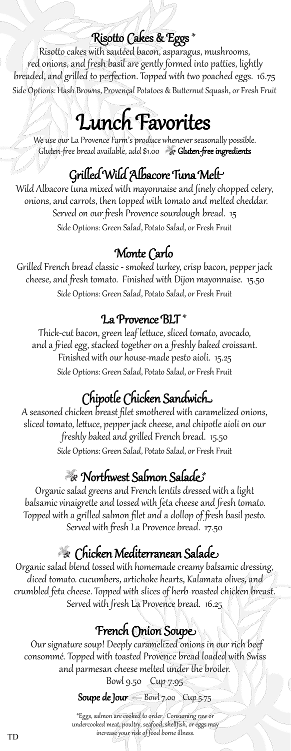#### Risotto Cakes & Eggs \*

Risotto cakes with sautéed bacon, asparagus, mushrooms, red onions, and fresh basil are gently formed into patties, lightly breaded, and grilled to perfection. Topped with two poached eggs. 16.75 Side Options: Hash Browns, Provençal Potatoes & Butternut Squash, or Fresh Fruit

# Lunch Favorites

We use our La Provence Farm's produce whenever seasonally possible. Gluten-free bread available, add \$1.00 G**luten-free ingredients** 

### Grilled Wild Albacore Tuna Melt

Wild Albacore tuna mixed with mayonnaise and finely chopped celery, onions, and carrots, then topped with tomato and melted cheddar. Served on our fresh Provence sourdough bread. 15 Side Options: Green Salad, Potato Salad, or Fresh Fruit

### Monte Carlo

Grilled French bread classic - smoked turkey, crisp bacon, pepper jack cheese, and fresh tomato. Finished with Dijon mayonnaise. 15.50 Side Options: Green Salad, Potato Salad, or Fresh Fruit

#### La Provence BLT \*

Thick-cut bacon, green leaf lettuce, sliced tomato, avocado, and a fried egg, stacked together on a freshly baked croissant. Finished with our house-made pesto aioli. 15.25 Side Options: Green Salad, Potato Salad, or Fresh Fruit

## Chipotle Chicken Sandwich

A seasoned chicken breast filet smothered with caramelized onions, sliced tomato, lettuce, pepper jack cheese, and chipotle aioli on our freshly baked and grilled French bread. 15.50 Side Options: Green Salad, Potato Salad, or Fresh Fruit

#### Northwest Salmon Salade \*

Organic salad greens and French lentils dressed with a light balsamic vinaigrette and tossed with feta cheese and fresh tomato. Topped with a grilled salmon filet and a dollop of fresh basil pesto. Served with fresh La Provence bread. 17.50

### Chicken Mediterranean Salade

Organic salad blend tossed with homemade creamy balsamic dressing, diced tomato. cucumbers, artichoke hearts, Kalamata olives, and crumbled feta cheese. Topped with slices of herb-roasted chicken breast. Served with fresh La Provence bread. 16.25

#### French Onion Soupe

 Our signature soup! Deeply caramelized onions in our rich beef consommé. Topped with toasted Provence bread loaded with Swiss and parmesan cheese melted under the broiler.

Bowl 9.50 Cup 7.95

Soupe de Jour  $-$  Bowl 7.00 Cup 5.75

\*Eggs, salmon are cooked to order. Consuming raw or undercooked meat, poultry, seafood, shellfish, or eggs may increase your risk of food borne illness.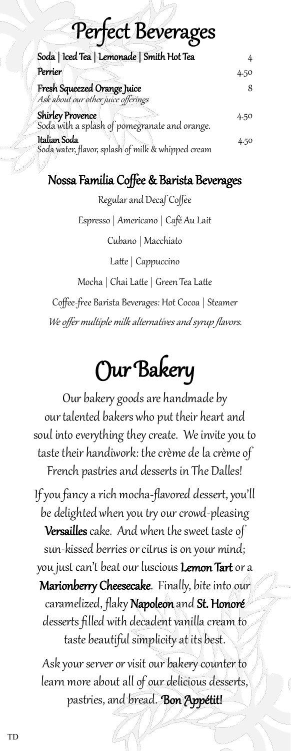# Perfect Beverages

| Soda   Iced Tea   Lemonade   Smith Hot Tea                               |      |
|--------------------------------------------------------------------------|------|
| Perrier                                                                  | 4.50 |
| Fresh Squeezed Orange Juice<br>Ask about our other juice offerings       |      |
| <b>Shirley Provence</b><br>Soda with a splash of pomegranate and orange. | 4.50 |
| Italian Soda<br>Soda water, flavor, splash of milk & whipped cream       | 4.50 |

#### Nossa Familia Coffee & Barista Beverages

Regular and Decaf Coffee

Espresso | Americano | Café Au Lait

Cubano | Macchiato

Latte | Cappuccino

Mocha | Chai Latte | Green Tea Latte

Coffee-free Barista Beverages: Hot Cocoa | Steamer

We offer multiple milk alternatives and syrup flavors.

# Our Bakery

Our bakery goods are handmade by our talented bakers who put their heart and soul into everything they create. We invite you to taste their handiwork: the crème de la crème of French pastries and desserts in The Dalles!

If you fancy a rich mocha-flavored dessert, you'll be delighted when you try our crowd-pleasing Versailles cake. And when the sweet taste of sun-kissed berries or citrus is on your mind; you just can't beat our luscious Lemon Tart or a Marionberry Cheesecake. Finally, bite into our caramelized, flaky Napoleon and St. Honoré desserts filled with decadent vanilla cream to taste beautiful simplicity at its best.

Ask your server or visit our bakery counter to learn more about all of our delicious desserts, pastries, and bread.Bon Appétit!